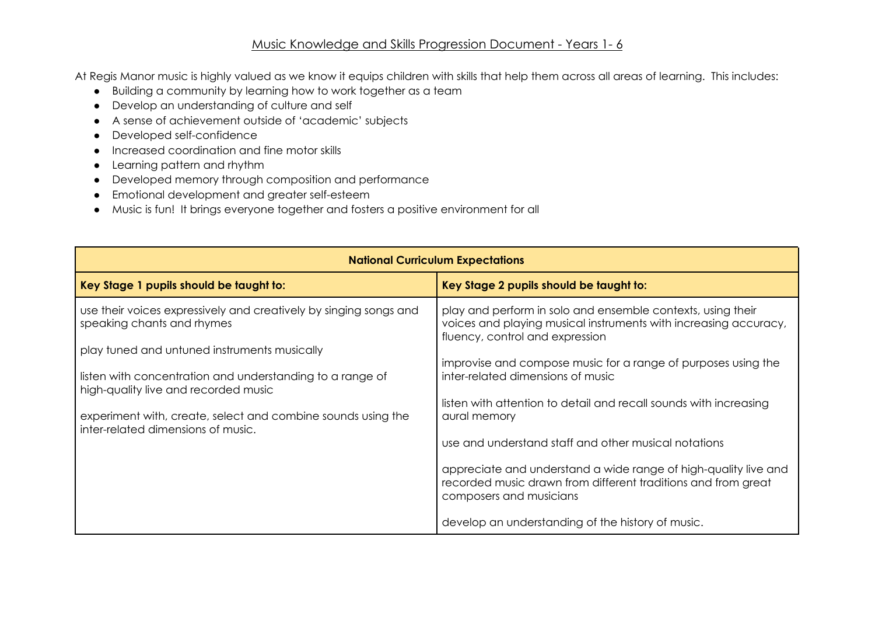## Music Knowledge and Skills Progression Document - Years 1- 6

At Regis Manor music is highly valued as we know it equips children with skills that help them across all areas of learning. This includes:

- Building a community by learning how to work together as a team
- Develop an understanding of culture and self
- A sense of achievement outside of 'academic' subjects
- Developed self-confidence
- Increased coordination and fine motor skills
- Learning pattern and rhythm
- Developed memory through composition and performance
- Emotional development and greater self-esteem
- Music is fun! It brings everyone together and fosters a positive environment for all

| <b>National Curriculum Expectations</b>                                                                                                                                                                                                                                                                                                                    |                                                                                                                                                                                                                                                                                                                                                                                                                       |  |  |  |
|------------------------------------------------------------------------------------------------------------------------------------------------------------------------------------------------------------------------------------------------------------------------------------------------------------------------------------------------------------|-----------------------------------------------------------------------------------------------------------------------------------------------------------------------------------------------------------------------------------------------------------------------------------------------------------------------------------------------------------------------------------------------------------------------|--|--|--|
| Key Stage 1 pupils should be taught to:                                                                                                                                                                                                                                                                                                                    | Key Stage 2 pupils should be taught to:                                                                                                                                                                                                                                                                                                                                                                               |  |  |  |
| use their voices expressively and creatively by singing songs and<br>speaking chants and rhymes<br>play tuned and untuned instruments musically<br>listen with concentration and understanding to a range of<br>high-quality live and recorded music<br>experiment with, create, select and combine sounds using the<br>inter-related dimensions of music. | play and perform in solo and ensemble contexts, using their<br>voices and playing musical instruments with increasing accuracy,<br>fluency, control and expression<br>improvise and compose music for a range of purposes using the<br>inter-related dimensions of music<br>listen with attention to detail and recall sounds with increasing<br>aural memory<br>use and understand staff and other musical notations |  |  |  |
|                                                                                                                                                                                                                                                                                                                                                            | appreciate and understand a wide range of high-quality live and<br>recorded music drawn from different traditions and from great<br>composers and musicians<br>develop an understanding of the history of music.                                                                                                                                                                                                      |  |  |  |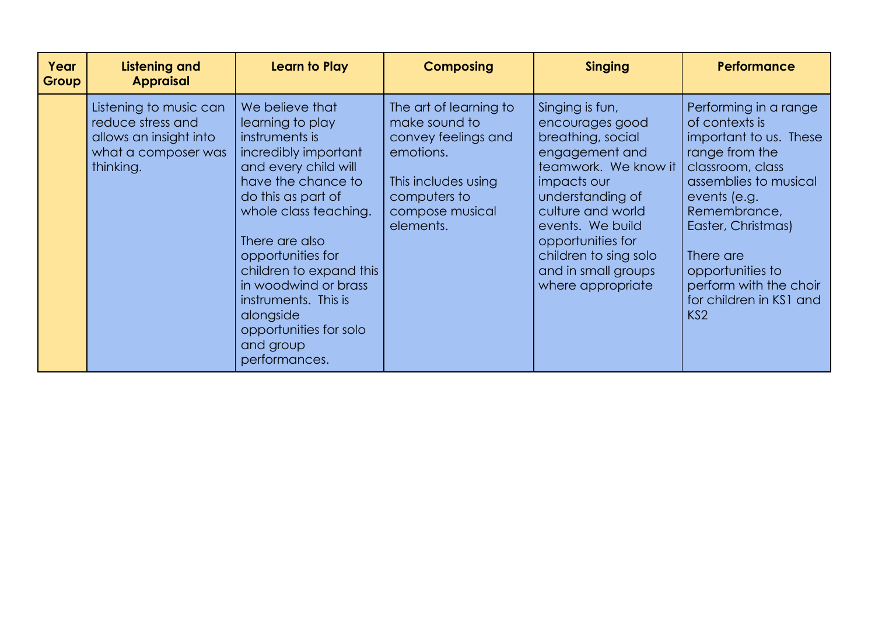| Year<br>Group | Listening and<br><b>Appraisal</b>                                                                         | Learn to Play                                                                                                                                                                                                                                                                                                                                                     | <b>Composing</b>                                                                                                                                   | <b>Singing</b>                                                                                                                                                                                                                                                          | <b>Performance</b>                                                                                                                                                                                                                                                                              |
|---------------|-----------------------------------------------------------------------------------------------------------|-------------------------------------------------------------------------------------------------------------------------------------------------------------------------------------------------------------------------------------------------------------------------------------------------------------------------------------------------------------------|----------------------------------------------------------------------------------------------------------------------------------------------------|-------------------------------------------------------------------------------------------------------------------------------------------------------------------------------------------------------------------------------------------------------------------------|-------------------------------------------------------------------------------------------------------------------------------------------------------------------------------------------------------------------------------------------------------------------------------------------------|
|               | Listening to music can<br>reduce stress and<br>allows an insight into<br>what a composer was<br>thinking. | We believe that<br>learning to play<br>instruments is<br>incredibly important<br>and every child will<br>have the chance to<br>do this as part of<br>whole class teaching.<br>There are also<br>opportunities for<br>children to expand this<br>in woodwind or brass<br>instruments. This is<br>alongside<br>opportunities for solo<br>and group<br>performances. | The art of learning to<br>make sound to<br>convey feelings and<br>emotions.<br>This includes using<br>computers to<br>compose musical<br>elements. | Singing is fun,<br>encourages good<br>breathing, social<br>engagement and<br>teamwork. We know it<br>impacts our<br>understanding of<br>culture and world<br>events. We build<br>opportunities for<br>children to sing solo<br>and in small groups<br>where appropriate | Performing in a range<br>of contexts is<br>important to us. These<br>range from the<br>classroom, class<br>assemblies to musical<br>events (e.g.<br>Remembrance,<br>Easter, Christmas)<br>There are<br>opportunities to<br>perform with the choir<br>for children in KS1 and<br>KS <sub>2</sub> |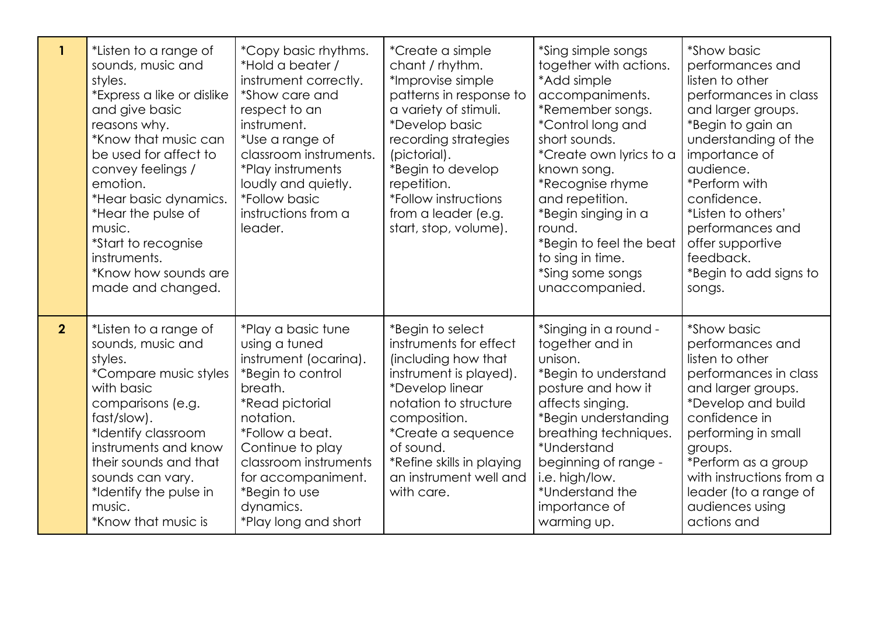| $\mathbf{1}$   | *Listen to a range of<br>sounds, music and<br>styles.<br>*Express a like or dislike<br>and give basic<br>reasons why.<br>*Know that music can<br>be used for affect to<br>convey feelings /<br>emotion.<br>*Hear basic dynamics.<br>*Hear the pulse of<br>music.<br>*Start to recognise<br>instruments.<br>*Know how sounds are<br>made and changed. | *Copy basic rhythms.<br>*Hold a beater /<br>instrument correctly.<br>*Show care and<br>respect to an<br>instrument.<br>*Use a range of<br>classroom instruments.<br>*Play instruments<br>loudly and quietly.<br><i><b>*Follow basic</b></i><br>instructions from a<br>leader.          | *Create a simple<br>chant / rhythm.<br>*Improvise simple<br>patterns in response to<br>a variety of stimuli.<br>*Develop basic<br>recording strategies<br>(pictorial).<br>*Begin to develop<br>repetition.<br><i>*Follow instructions</i><br>from a leader (e.g.<br>start, stop, volume). | *Sing simple songs<br>together with actions.<br>*Add simple<br>accompaniments.<br>*Remember songs.<br><i>*Control long and</i><br>short sounds.<br>*Create own lyrics to a<br>known song.<br>*Recognise rhyme<br>and repetition.<br>*Begin singing in a<br>round.<br>*Begin to feel the beat<br>to sing in time.<br>*Sing some songs<br>unaccompanied. | *Show basic<br>performances and<br>listen to other<br>performances in class<br>and larger groups.<br>*Begin to gain an<br>understanding of the<br>importance of<br>audience.<br>*Perform with<br>confidence.<br>*Listen to others'<br>performances and<br>offer supportive<br>feedback.<br>*Begin to add signs to<br>songs. |
|----------------|------------------------------------------------------------------------------------------------------------------------------------------------------------------------------------------------------------------------------------------------------------------------------------------------------------------------------------------------------|----------------------------------------------------------------------------------------------------------------------------------------------------------------------------------------------------------------------------------------------------------------------------------------|-------------------------------------------------------------------------------------------------------------------------------------------------------------------------------------------------------------------------------------------------------------------------------------------|--------------------------------------------------------------------------------------------------------------------------------------------------------------------------------------------------------------------------------------------------------------------------------------------------------------------------------------------------------|-----------------------------------------------------------------------------------------------------------------------------------------------------------------------------------------------------------------------------------------------------------------------------------------------------------------------------|
| 2 <sup>1</sup> | *Listen to a range of<br>sounds, music and<br>styles.<br>*Compare music styles<br>with basic<br>comparisons (e.g.<br>fast/slow).<br>*Identify classroom<br>instruments and know<br>their sounds and that<br>sounds can vary.<br>*Identify the pulse in<br>music.<br>*Know that music is                                                              | *Play a basic tune<br>using a tuned<br>instrument (ocarina).<br>*Begin to control<br>breath.<br><i><b>*Read pictorial</b></i><br>notation.<br>*Follow a beat.<br>Continue to play<br>classroom instruments<br>for accompaniment.<br>*Begin to use<br>dynamics.<br>*Play long and short | *Begin to select<br>instruments for effect<br>(including how that<br>instrument is played).<br>*Develop linear<br>notation to structure<br>composition.<br>*Create a sequence<br>of sound.<br>*Refine skills in playing<br>an instrument well and<br>with care.                           | *Singing in a round -<br>together and in<br>unison.<br>*Begin to understand<br>posture and how it<br>affects singing.<br>*Begin understanding<br>breathing techniques.<br>*Understand<br>beginning of range -<br>i.e. high/low.<br>*Understand the<br>importance of<br>warming up.                                                                     | *Show basic<br>performances and<br>listen to other<br>performances in class<br>and larger groups.<br>*Develop and build<br>confidence in<br>performing in small<br>groups.<br>*Perform as a group<br>with instructions from a<br>leader (to a range of<br>audiences using<br>actions and                                    |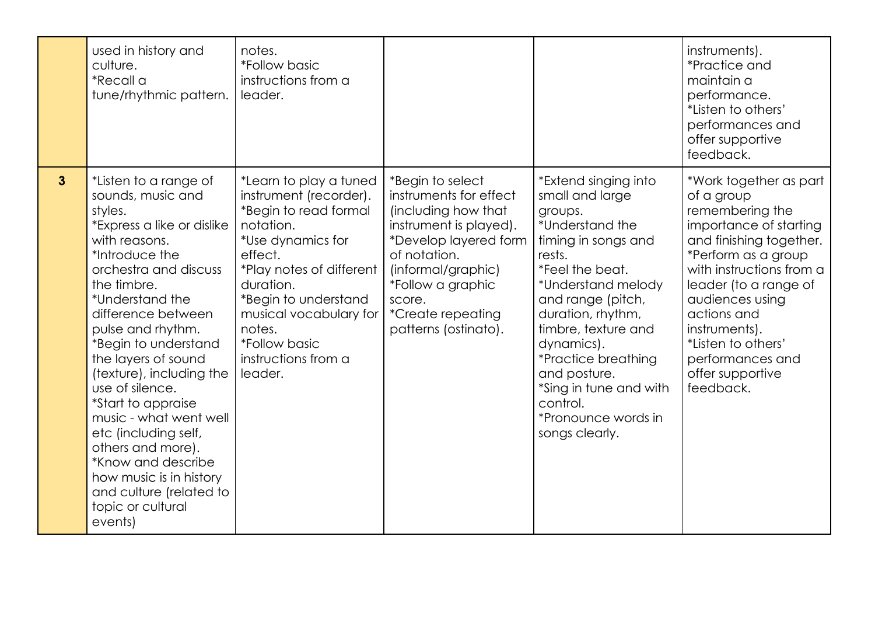|                | used in history and<br>culture.<br>*Recall a<br>tune/rhythmic pattern.                                                                                                                                                                                                                                                                                                                                                                                                                                                              | notes.<br><i>*Follow basic</i><br>instructions from a<br>leader.                                                                                                                                                                                                                             |                                                                                                                                                                                                                                               |                                                                                                                                                                                                                                                                                                                                                      | instruments).<br><i>*Practice and</i><br>maintain a<br>performance.<br>*Listen to others'<br>performances and<br>offer supportive<br>feedback.                                                                                                                                                                         |
|----------------|-------------------------------------------------------------------------------------------------------------------------------------------------------------------------------------------------------------------------------------------------------------------------------------------------------------------------------------------------------------------------------------------------------------------------------------------------------------------------------------------------------------------------------------|----------------------------------------------------------------------------------------------------------------------------------------------------------------------------------------------------------------------------------------------------------------------------------------------|-----------------------------------------------------------------------------------------------------------------------------------------------------------------------------------------------------------------------------------------------|------------------------------------------------------------------------------------------------------------------------------------------------------------------------------------------------------------------------------------------------------------------------------------------------------------------------------------------------------|------------------------------------------------------------------------------------------------------------------------------------------------------------------------------------------------------------------------------------------------------------------------------------------------------------------------|
| 3 <sup>2</sup> | *Listen to a range of<br>sounds, music and<br>styles.<br>*Express a like or dislike<br>with reasons.<br>*Introduce the<br>orchestra and discuss<br>the timbre.<br>*Understand the<br>difference between<br>pulse and rhythm.<br>*Begin to understand<br>the layers of sound<br>(texture), including the<br>use of silence.<br>*Start to appraise<br>music - what went well<br>etc (including self,<br>others and more).<br>*Know and describe<br>how music is in history<br>and culture (related to<br>topic or cultural<br>events) | *Learn to play a tuned<br>instrument (recorder).<br>*Begin to read formal<br>notation.<br>*Use dynamics for<br>effect.<br>*Play notes of different<br>duration.<br>*Begin to understand<br>musical vocabulary for<br>notes.<br><i><b>*Follow basic</b></i><br>instructions from a<br>leader. | *Begin to select<br>instruments for effect<br>(including how that<br>instrument is played).<br>*Develop layered form<br>of notation.<br>(informal/graphic)<br>*Follow a graphic<br>score.<br><i>*Create repeating</i><br>patterns (ostinato). | *Extend singing into<br>small and large<br>groups.<br>*Understand the<br>timing in songs and<br>rests.<br>*Feel the beat.<br>*Understand melody<br>and range (pitch,<br>duration, rhythm,<br>timbre, texture and<br>dynamics).<br>*Practice breathing<br>and posture.<br>*Sing in tune and with<br>control.<br>*Pronounce words in<br>songs clearly. | *Work together as part<br>of a group<br>remembering the<br>importance of starting<br>and finishing together.<br>*Perform as a group<br>with instructions from a<br>leader (to a range of<br>audiences using<br>actions and<br>instruments).<br>*Listen to others'<br>performances and<br>offer supportive<br>feedback. |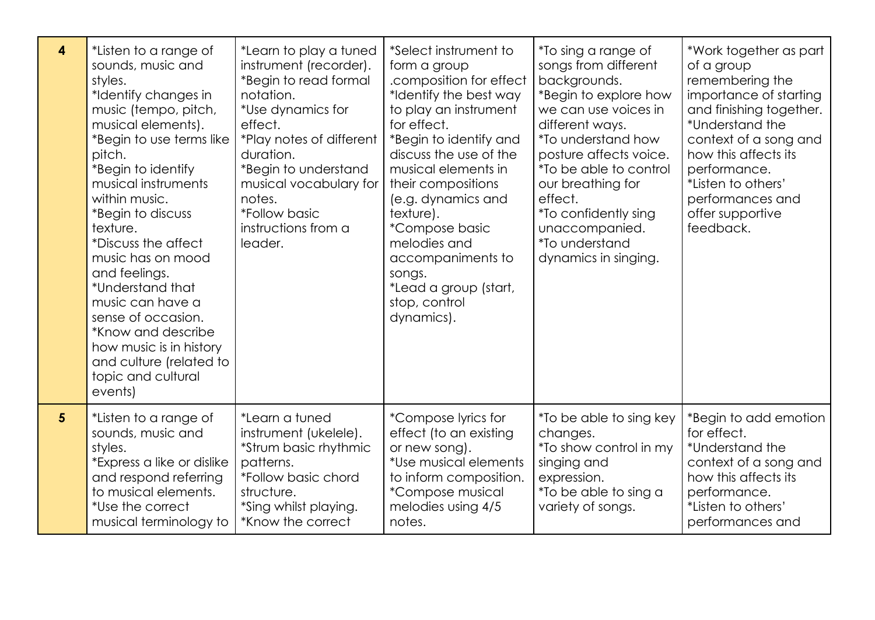| $\overline{\mathbf{4}}$ | *Listen to a range of<br>sounds, music and<br>styles.<br>*Identify changes in<br>music (tempo, pitch,<br>musical elements).<br>*Begin to use terms like<br>pitch.<br>*Begin to identify<br>musical instruments<br>within music.<br>*Begin to discuss<br>texture.<br>*Discuss the affect<br>music has on mood<br>and feelings.<br>*Understand that<br>music can have a<br>sense of occasion.<br>*Know and describe<br>how music is in history<br>and culture (related to<br>topic and cultural<br>events) | *Learn to play a tuned<br>instrument (recorder).<br>*Begin to read formal<br>notation.<br>*Use dynamics for<br>effect.<br>*Play notes of different<br>duration.<br>*Begin to understand<br>musical vocabulary for<br>notes.<br><i><b>*Follow basic</b></i><br>instructions from a<br>leader. | *Select instrument to<br>form a group<br>.composition for effect<br>*Identify the best way<br>to play an instrument<br>for effect.<br>*Begin to identify and<br>discuss the use of the<br>musical elements in<br>their compositions<br>(e.g. dynamics and<br>texture).<br><i>*Compose basic</i><br>melodies and<br>accompaniments to<br>songs.<br>*Lead a group (start,<br>stop, control<br>dynamics). | <i>*</i> To sing a range of<br>songs from different<br>backgrounds.<br>*Begin to explore how<br>we can use voices in<br>different ways.<br><i>*To understand how</i><br>posture affects voice.<br><i>*To be able to control</i><br>our breathing for<br>effect.<br><i>*To confidently sing</i><br>unaccompanied.<br><i>*To understand</i><br>dynamics in singing. | *Work together as part<br>of a group<br>remembering the<br>importance of starting<br>and finishing together.<br>*Understand the<br>context of a song and<br>how this affects its<br>performance.<br>*Listen to others'<br>performances and<br>offer supportive<br>feedback. |
|-------------------------|----------------------------------------------------------------------------------------------------------------------------------------------------------------------------------------------------------------------------------------------------------------------------------------------------------------------------------------------------------------------------------------------------------------------------------------------------------------------------------------------------------|----------------------------------------------------------------------------------------------------------------------------------------------------------------------------------------------------------------------------------------------------------------------------------------------|--------------------------------------------------------------------------------------------------------------------------------------------------------------------------------------------------------------------------------------------------------------------------------------------------------------------------------------------------------------------------------------------------------|-------------------------------------------------------------------------------------------------------------------------------------------------------------------------------------------------------------------------------------------------------------------------------------------------------------------------------------------------------------------|-----------------------------------------------------------------------------------------------------------------------------------------------------------------------------------------------------------------------------------------------------------------------------|
| 5 <sup>5</sup>          | *Listen to a range of<br>sounds, music and<br>styles.<br>*Express a like or dislike<br>and respond referring<br>to musical elements.<br>*Use the correct<br>musical terminology to                                                                                                                                                                                                                                                                                                                       | *Learn a tuned<br>instrument (ukelele).<br>*Strum basic rhythmic<br>patterns.<br>*Follow basic chord<br>structure.<br>*Sing whilst playing.<br>*Know the correct                                                                                                                             | *Compose lyrics for<br>effect (to an existing<br>or new song).<br>*Use musical elements<br>to inform composition.<br>*Compose musical<br>melodies using 4/5<br>notes.                                                                                                                                                                                                                                  | <i>*</i> To be able to sing key<br>changes.<br><i>*To show control in my</i><br>singing and<br>expression.<br>*To be able to sing a<br>variety of songs.                                                                                                                                                                                                          | *Begin to add emotion<br>for effect.<br>*Understand the<br>context of a song and<br>how this affects its<br>performance.<br>*Listen to others'<br>performances and                                                                                                          |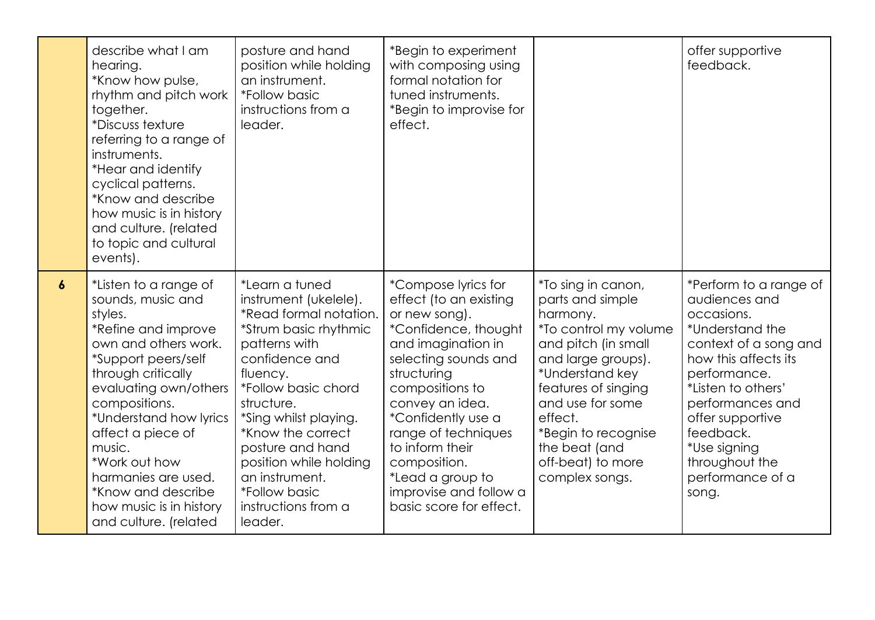|                  | describe what I am<br>hearing.<br>*Know how pulse,<br>rhythm and pitch work<br>together.<br><i>*Discuss texture</i><br>referring to a range of<br>instruments.<br>*Hear and identify<br>cyclical patterns.<br>*Know and describe<br>how music is in history<br>and culture. (related<br>to topic and cultural<br>events).                                              | posture and hand<br>position while holding<br>an instrument.<br><i>*Follow basic</i><br>instructions from a<br>leader.                                                                                                                                                                                                                                 | *Begin to experiment<br>with composing using<br>formal notation for<br>tuned instruments.<br>*Begin to improvise for<br>effect.                                                                                                                                                                                                                    |                                                                                                                                                                                                                                                                                  | offer supportive<br>feedback.                                                                                                                                                                                                                                                       |
|------------------|------------------------------------------------------------------------------------------------------------------------------------------------------------------------------------------------------------------------------------------------------------------------------------------------------------------------------------------------------------------------|--------------------------------------------------------------------------------------------------------------------------------------------------------------------------------------------------------------------------------------------------------------------------------------------------------------------------------------------------------|----------------------------------------------------------------------------------------------------------------------------------------------------------------------------------------------------------------------------------------------------------------------------------------------------------------------------------------------------|----------------------------------------------------------------------------------------------------------------------------------------------------------------------------------------------------------------------------------------------------------------------------------|-------------------------------------------------------------------------------------------------------------------------------------------------------------------------------------------------------------------------------------------------------------------------------------|
| $\boldsymbol{6}$ | *Listen to a range of<br>sounds, music and<br>styles.<br>*Refine and improve<br>own and others work.<br>*Support peers/self<br>through critically<br>evaluating own/others<br>compositions.<br>*Understand how lyrics<br>affect a piece of<br>music.<br>*Work out how<br>harmanies are used.<br>*Know and describe<br>how music is in history<br>and culture. (related | *Learn a tuned<br>instrument (ukelele).<br>*Read formal notation.<br>*Strum basic rhythmic<br>patterns with<br>confidence and<br>fluency.<br>*Follow basic chord<br>structure.<br>*Sing whilst playing.<br>*Know the correct<br>posture and hand<br>position while holding<br>an instrument.<br><i>*Follow basic</i><br>instructions from a<br>leader. | *Compose lyrics for<br>effect (to an existing<br>or new song).<br>*Confidence, thought<br>and imagination in<br>selecting sounds and<br>structuring<br>compositions to<br>convey an idea.<br>*Confidently use a<br>range of techniques<br>to inform their<br>composition.<br>*Lead a group to<br>improvise and follow a<br>basic score for effect. | *To sing in canon,<br>parts and simple<br>harmony.<br>*To control my volume<br>and pitch (in small<br>and large groups).<br>*Understand key<br>features of singing<br>and use for some<br>effect.<br>*Begin to recognise<br>the beat (and<br>off-beat) to more<br>complex songs. | *Perform to a range of<br>audiences and<br>occasions.<br>*Understand the<br>context of a song and<br>how this affects its<br>performance.<br>*Listen to others'<br>performances and<br>offer supportive<br>feedback.<br>*Use signing<br>throughout the<br>performance of a<br>song. |